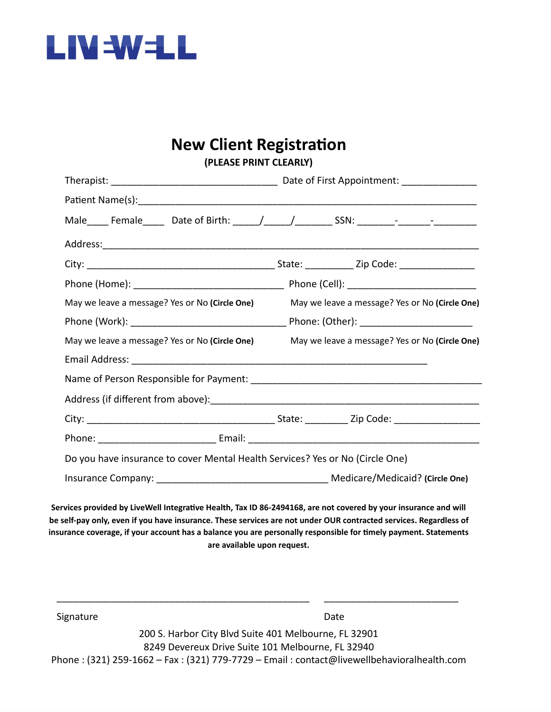

#### **New Client Registration (PLEASE PRINT CLEARLY)**

| <b>IFLLAJL FRIIVI CLLARLI</b>                                                 |                                                |  |  |  |
|-------------------------------------------------------------------------------|------------------------------------------------|--|--|--|
|                                                                               |                                                |  |  |  |
|                                                                               |                                                |  |  |  |
|                                                                               |                                                |  |  |  |
|                                                                               |                                                |  |  |  |
|                                                                               |                                                |  |  |  |
|                                                                               |                                                |  |  |  |
| May we leave a message? Yes or No (Circle One)                                | May we leave a message? Yes or No (Circle One) |  |  |  |
|                                                                               |                                                |  |  |  |
| May we leave a message? Yes or No (Circle One)                                | May we leave a message? Yes or No (Circle One) |  |  |  |
|                                                                               |                                                |  |  |  |
|                                                                               |                                                |  |  |  |
|                                                                               |                                                |  |  |  |
|                                                                               |                                                |  |  |  |
|                                                                               |                                                |  |  |  |
| Do you have insurance to cover Mental Health Services? Yes or No (Circle One) |                                                |  |  |  |
|                                                                               |                                                |  |  |  |
|                                                                               |                                                |  |  |  |

Services provided by LiveWell Integrative Health, Tax ID 86-2494168, are not covered by your insurance and will be self-pay only, even if you have insurance. These services are not under OUR contracted services. Regardless of **insurance coverage, if your account has a balance you are personally responsible for timely payment. Statements are available upon request.**

| Signature | Date.                                                                                        |
|-----------|----------------------------------------------------------------------------------------------|
|           | 200 S. Harbor City Blvd Suite 401 Melbourne, FL 32901                                        |
|           | 8249 Devereux Drive Suite 101 Melbourne, FL 32940                                            |
|           | Phone : (321) 259-1662 – Fax : (321) 779-7729 – Email : contact@livewellbehavioralhealth.com |

\_\_\_\_\_\_\_\_\_\_\_\_\_\_\_\_\_\_\_\_\_\_\_\_\_\_\_\_\_\_\_\_\_\_\_\_\_\_\_\_\_\_\_\_\_\_\_ \_\_\_\_\_\_\_\_\_\_\_\_\_\_\_\_\_\_\_\_\_\_\_\_\_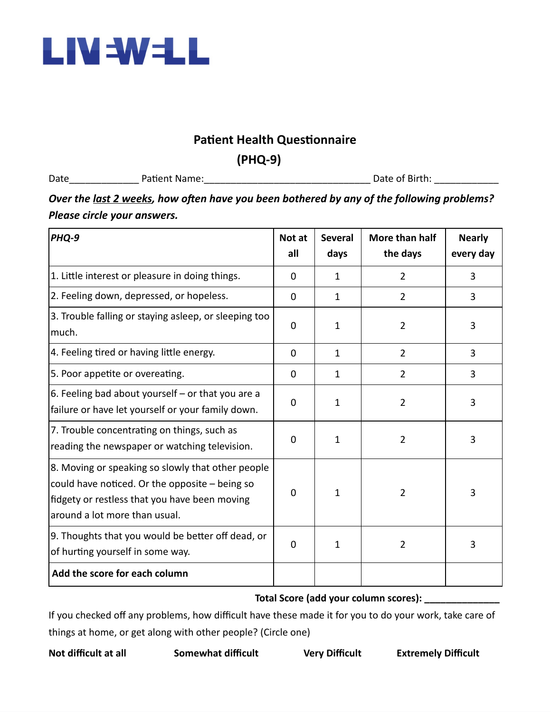

## **Patient Health Questionnaire**

**(PHQ-9)**

Date The Patient Name: The Patient Of Birth: Let us a set of Birth:  $\Box$  Date of Birth:  $\Box$ 

## *Over the last 2 weeks, how often have you been bothered by any of the following problems? Please circle your answers.*

| PHQ-9                                                                                                                                                                                 | Not at<br>all | <b>Several</b><br>days | More than half<br>the days | <b>Nearly</b><br>every day |
|---------------------------------------------------------------------------------------------------------------------------------------------------------------------------------------|---------------|------------------------|----------------------------|----------------------------|
| 1. Little interest or pleasure in doing things.                                                                                                                                       | $\mathbf 0$   | $\mathbf{1}$           | $\overline{2}$             | 3                          |
| 2. Feeling down, depressed, or hopeless.                                                                                                                                              | 0             | $\mathbf{1}$           | $\overline{2}$             | 3                          |
| 3. Trouble falling or staying asleep, or sleeping too<br>much.                                                                                                                        |               | 1                      | $\overline{2}$             | 3                          |
| 4. Feeling tired or having little energy.                                                                                                                                             | 0             | $\mathbf{1}$           | $\overline{2}$             | 3                          |
| 5. Poor appetite or overeating.                                                                                                                                                       | 0             | $\mathbf{1}$           | $\overline{2}$             | 3                          |
| 6. Feeling bad about yourself $-$ or that you are a<br>failure or have let yourself or your family down.                                                                              | 0             | 1                      | $\overline{2}$             | 3                          |
| 7. Trouble concentrating on things, such as<br>reading the newspaper or watching television.                                                                                          | $\mathbf 0$   | $\mathbf{1}$           | $\overline{2}$             | 3                          |
| 8. Moving or speaking so slowly that other people<br>could have noticed. Or the opposite - being so<br>fidgety or restless that you have been moving<br>around a lot more than usual. | $\Omega$      | 1                      | $\overline{2}$             | 3                          |
| 9. Thoughts that you would be better off dead, or<br>of hurting yourself in some way.                                                                                                 | $\mathbf 0$   | $\mathbf{1}$           | $\overline{2}$             | 3                          |
| Add the score for each column                                                                                                                                                         |               |                        |                            |                            |

#### **Total Score (add your column scores): \_\_\_\_\_\_\_\_\_\_\_\_\_\_**

If you checked off any problems, how difficult have these made it for you to do your work, take care of things at home, or get along with other people? (Circle one)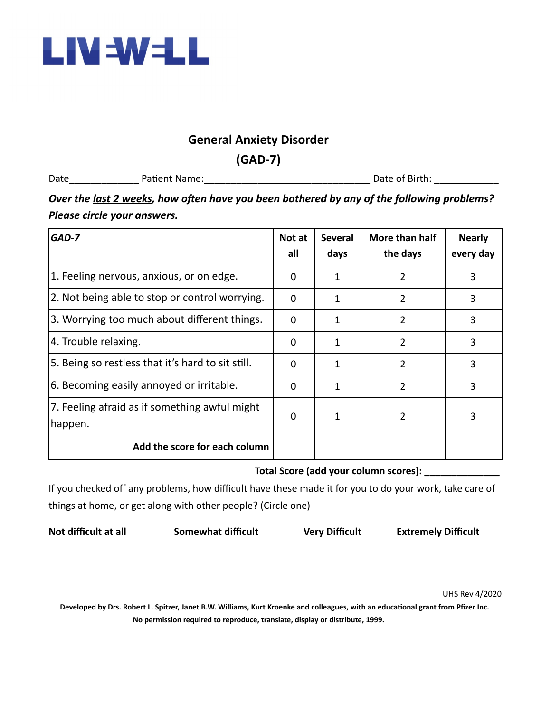

### **General Anxiety Disorder**

**(GAD-7)**

Date\_\_\_\_\_\_\_\_\_\_\_\_\_ Patient Name:\_\_\_\_\_\_\_\_\_\_\_\_\_\_\_\_\_\_\_\_\_\_\_\_\_\_\_\_\_\_\_ Date of Birth: \_\_\_\_\_\_\_\_\_\_\_\_

## *Over the last 2 weeks, how often have you been bothered by any of the following problems? Please circle your answers.*

| GAD-7                                                    | Not at<br>all | <b>Several</b><br>days | More than half<br>the days | <b>Nearly</b><br>every day |
|----------------------------------------------------------|---------------|------------------------|----------------------------|----------------------------|
| 1. Feeling nervous, anxious, or on edge.                 | 0             | 1                      | 2                          | 3                          |
| 2. Not being able to stop or control worrying.           | $\Omega$      | 1                      | 2                          | 3                          |
| 3. Worrying too much about different things.             | 0             | 1                      | 2                          | 3                          |
| 4. Trouble relaxing.                                     |               | 1                      | $\overline{2}$             | 3                          |
| 5. Being so restless that it's hard to sit still.        | $\Omega$      | 1                      | $\overline{2}$             | 3                          |
| 6. Becoming easily annoyed or irritable.                 | $\Omega$      | 1                      | 2                          | 3                          |
| 7. Feeling afraid as if something awful might<br>happen. | 0             | 1                      | 2                          | 3                          |
| Add the score for each column                            |               |                        |                            |                            |

**Total Score (add your column scores): \_\_\_\_\_\_\_\_\_\_\_\_\_\_**

If you checked off any problems, how difficult have these made it for you to do your work, take care of things at home, or get along with other people? (Circle one)

**Not difficult at all Somewhat difficult Very Difficult Extremely Difficult**

UHS Rev 4/2020

Developed by Drs. Robert L. Spitzer, Janet B.W. Williams, Kurt Kroenke and colleagues, with an educational grant from Pfizer Inc. **No permission required to reproduce, translate, display or distribute, 1999.**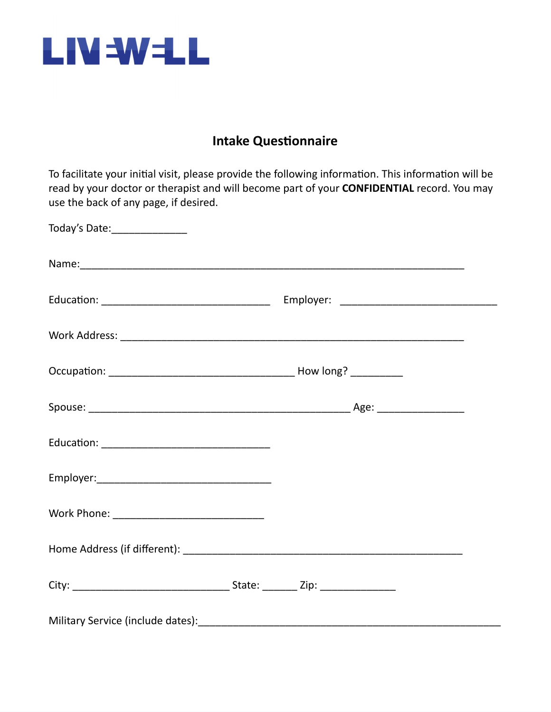

# **Intake Questionnaire**

To facilitate your initial visit, please provide the following information. This information will be read by your doctor or therapist and will become part of your **CONFIDENTIAL** record. You may use the back of any page, if desired.

| Today's Date: ________________ |  |  |
|--------------------------------|--|--|
|                                |  |  |
|                                |  |  |
|                                |  |  |
|                                |  |  |
|                                |  |  |
|                                |  |  |
|                                |  |  |
|                                |  |  |
|                                |  |  |
|                                |  |  |
|                                |  |  |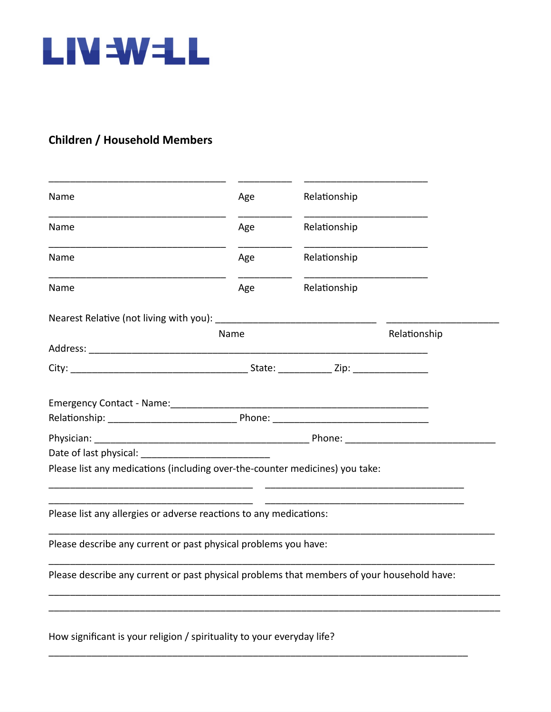

## **Children / Household Members**

| Name                                                                                                                                                                                                                                                                                                                                     | Age  | Relationship |              |
|------------------------------------------------------------------------------------------------------------------------------------------------------------------------------------------------------------------------------------------------------------------------------------------------------------------------------------------|------|--------------|--------------|
| Name                                                                                                                                                                                                                                                                                                                                     | Age  | Relationship |              |
| <b>Name</b>                                                                                                                                                                                                                                                                                                                              | Age  | Relationship |              |
| Name                                                                                                                                                                                                                                                                                                                                     | Age  | Relationship |              |
| Nearest Relative (not living with you): _________                                                                                                                                                                                                                                                                                        |      |              |              |
|                                                                                                                                                                                                                                                                                                                                          | Name |              | Relationship |
|                                                                                                                                                                                                                                                                                                                                          |      |              |              |
| Physician: Phone: Phone: Phone: Phone: Phone: Phone: Phone: Phone: Phone: Phone: Phone: Phone: Phone: Phone: Phone: Phone: Phone: Phone: Phone: Phone: Phone: Phone: Phone: Phone: Phone: Phone: Phone: Phone: Phone: Phone: P<br>Date of last physical:<br>Please list any medications (including over-the-counter medicines) you take: |      |              |              |
| Please list any allergies or adverse reactions to any medications:                                                                                                                                                                                                                                                                       |      |              |              |
| Please describe any current or past physical problems you have:                                                                                                                                                                                                                                                                          |      |              |              |
|                                                                                                                                                                                                                                                                                                                                          |      |              |              |
|                                                                                                                                                                                                                                                                                                                                          |      |              |              |
| Please describe any current or past physical problems that members of your household have:                                                                                                                                                                                                                                               |      |              |              |

\_\_\_\_\_\_\_\_\_\_\_\_\_\_\_\_\_\_\_\_\_\_\_\_\_\_\_\_\_\_\_\_\_\_\_\_\_\_\_\_\_\_\_\_\_\_\_\_\_\_\_\_\_\_\_\_\_\_\_\_\_\_\_\_\_\_\_\_\_\_\_\_\_\_\_\_\_\_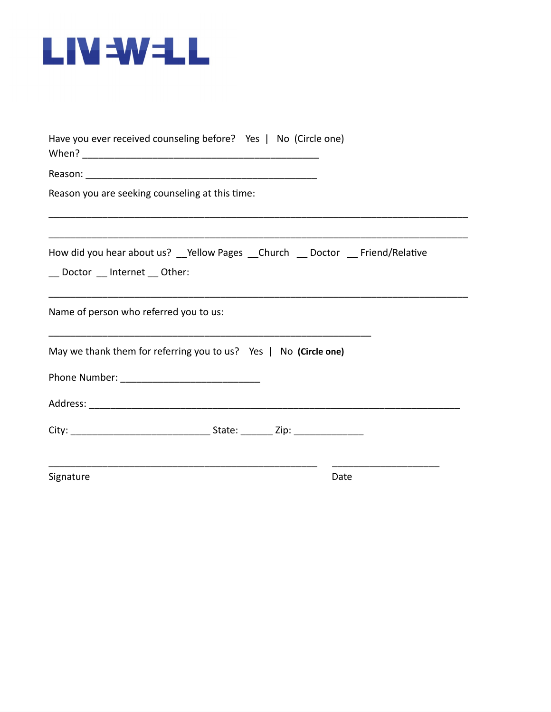

| Have you ever received counseling before? Yes   No (Circle one)                                                |      |
|----------------------------------------------------------------------------------------------------------------|------|
|                                                                                                                |      |
| Reason you are seeking counseling at this time:                                                                |      |
| How did you hear about us? __ Yellow Pages __ Church __ Doctor __ Friend/Relative<br>_Doctor _Internet _Other: |      |
| Name of person who referred you to us:                                                                         |      |
| May we thank them for referring you to us? Yes $\mid$ No (Circle one)                                          |      |
|                                                                                                                |      |
|                                                                                                                |      |
|                                                                                                                |      |
| Signature                                                                                                      | Date |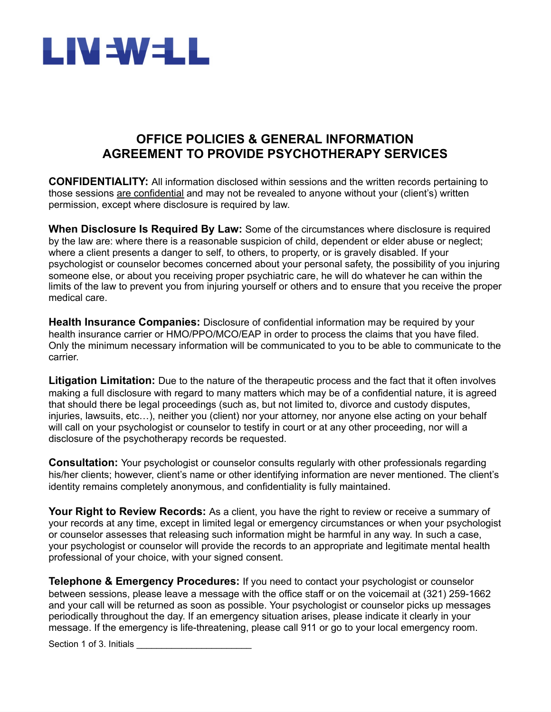

## **OFFICE POLICIES & GENERAL INFORMATION AGREEMENT TO PROVIDE PSYCHOTHERAPY SERVICES**

**CONFIDENTIALITY:** All information disclosed within sessions and the written records pertaining to those sessions are confidential and may not be revealed to anyone without your (client's) written permission, except where disclosure is required by law.

**When Disclosure Is Required By Law:** Some of the circumstances where disclosure is required by the law are: where there is a reasonable suspicion of child, dependent or elder abuse or neglect; where a client presents a danger to self, to others, to property, or is gravely disabled. If your psychologist or counselor becomes concerned about your personal safety, the possibility of you injuring someone else, or about you receiving proper psychiatric care, he will do whatever he can within the limits of the law to prevent you from injuring yourself or others and to ensure that you receive the proper medical care.

**Health Insurance Companies:** Disclosure of confidential information may be required by your health insurance carrier or HMO/PPO/MCO/EAP in order to process the claims that you have filed. Only the minimum necessary information will be communicated to you to be able to communicate to the carrier.

**Litigation Limitation:** Due to the nature of the therapeutic process and the fact that it often involves making a full disclosure with regard to many matters which may be of a confidential nature, it is agreed that should there be legal proceedings (such as, but not limited to, divorce and custody disputes, injuries, lawsuits, etc…), neither you (client) nor your attorney, nor anyone else acting on your behalf will call on your psychologist or counselor to testify in court or at any other proceeding, nor will a disclosure of the psychotherapy records be requested.

**Consultation:** Your psychologist or counselor consults regularly with other professionals regarding his/her clients; however, client's name or other identifying information are never mentioned. The client's identity remains completely anonymous, and confidentiality is fully maintained.

**Your Right to Review Records:** As a client, you have the right to review or receive a summary of your records at any time, except in limited legal or emergency circumstances or when your psychologist or counselor assesses that releasing such information might be harmful in any way. In such a case, your psychologist or counselor will provide the records to an appropriate and legitimate mental health professional of your choice, with your signed consent.

**Telephone & Emergency Procedures:** If you need to contact your psychologist or counselor between sessions, please leave a message with the office staff or on the voicemail at (321) 259-1662 and your call will be returned as soon as possible. Your psychologist or counselor picks up messages periodically throughout the day. If an emergency situation arises, please indicate it clearly in your message. If the emergency is life-threatening, please call 911 or go to your local emergency room.

Section 1 of 3. Initials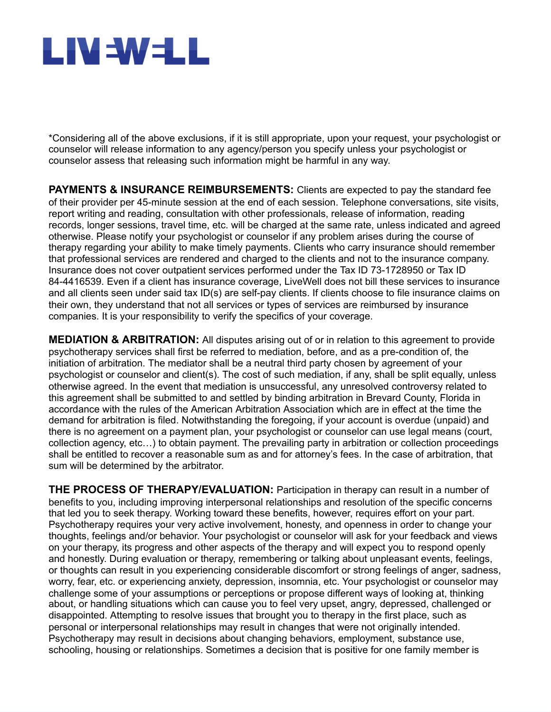# LIV=W=LL

\*Considering all of the above exclusions, if it is still appropriate, upon your request, your psychologist or counselor will release information to any agency/person you specify unless your psychologist or counselor assess that releasing such information might be harmful in any way.

**PAYMENTS & INSURANCE REIMBURSEMENTS:** Clients are expected to pay the standard fee of their provider per 45-minute session at the end of each session. Telephone conversations, site visits, report writing and reading, consultation with other professionals, release of information, reading records, longer sessions, travel time, etc. will be charged at the same rate, unless indicated and agreed otherwise. Please notify your psychologist or counselor if any problem arises during the course of therapy regarding your ability to make timely payments. Clients who carry insurance should remember that professional services are rendered and charged to the clients and not to the insurance company. Insurance does not cover outpatient services performed under the Tax ID 73-1728950 or Tax ID 84-4416539. Even if a client has insurance coverage, LiveWell does not bill these services to insurance and all clients seen under said tax ID(s) are self-pay clients. If clients choose to file insurance claims on their own, they understand that not all services or types of services are reimbursed by insurance companies. It is your responsibility to verify the specifics of your coverage.

**MEDIATION & ARBITRATION:** All disputes arising out of or in relation to this agreement to provide psychotherapy services shall first be referred to mediation, before, and as a pre-condition of, the initiation of arbitration. The mediator shall be a neutral third party chosen by agreement of your psychologist or counselor and client(s). The cost of such mediation, if any, shall be split equally, unless otherwise agreed. In the event that mediation is unsuccessful, any unresolved controversy related to this agreement shall be submitted to and settled by binding arbitration in Brevard County, Florida in accordance with the rules of the American Arbitration Association which are in effect at the time the demand for arbitration is filed. Notwithstanding the foregoing, if your account is overdue (unpaid) and there is no agreement on a payment plan, your psychologist or counselor can use legal means (court, collection agency, etc…) to obtain payment. The prevailing party in arbitration or collection proceedings shall be entitled to recover a reasonable sum as and for attorney's fees. In the case of arbitration, that sum will be determined by the arbitrator.

**THE PROCESS OF THERAPY/EVALUATION:** Participation in therapy can result in a number of benefits to you, including improving interpersonal relationships and resolution of the specific concerns that led you to seek therapy. Working toward these benefits, however, requires effort on your part. Psychotherapy requires your very active involvement, honesty, and openness in order to change your thoughts, feelings and/or behavior. Your psychologist or counselor will ask for your feedback and views on your therapy, its progress and other aspects of the therapy and will expect you to respond openly and honestly. During evaluation or therapy, remembering or talking about unpleasant events, feelings, or thoughts can result in you experiencing considerable discomfort or strong feelings of anger, sadness, worry, fear, etc. or experiencing anxiety, depression, insomnia, etc. Your psychologist or counselor may challenge some of your assumptions or perceptions or propose different ways of looking at, thinking about, or handling situations which can cause you to feel very upset, angry, depressed, challenged or disappointed. Attempting to resolve issues that brought you to therapy in the first place, such as personal or interpersonal relationships may result in changes that were not originally intended. Psychotherapy may result in decisions about changing behaviors, employment, substance use, schooling, housing or relationships. Sometimes a decision that is positive for one family member is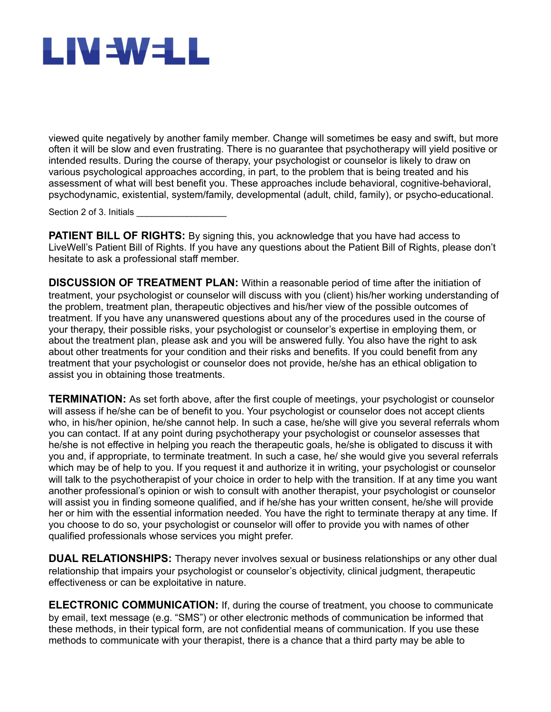

viewed quite negatively by another family member. Change will sometimes be easy and swift, but more often it will be slow and even frustrating. There is no guarantee that psychotherapy will yield positive or intended results. During the course of therapy, your psychologist or counselor is likely to draw on various psychological approaches according, in part, to the problem that is being treated and his assessment of what will best benefit you. These approaches include behavioral, cognitive-behavioral, psychodynamic, existential, system/family, developmental (adult, child, family), or psycho-educational.

Section 2 of 3. Initials

**PATIENT BILL OF RIGHTS:** By signing this, you acknowledge that you have had access to LiveWell's Patient Bill of Rights. If you have any questions about the Patient Bill of Rights, please don't hesitate to ask a professional staff member.

**DISCUSSION OF TREATMENT PLAN:** Within a reasonable period of time after the initiation of treatment, your psychologist or counselor will discuss with you (client) his/her working understanding of the problem, treatment plan, therapeutic objectives and his/her view of the possible outcomes of treatment. If you have any unanswered questions about any of the procedures used in the course of your therapy, their possible risks, your psychologist or counselor's expertise in employing them, or about the treatment plan, please ask and you will be answered fully. You also have the right to ask about other treatments for your condition and their risks and benefits. If you could benefit from any treatment that your psychologist or counselor does not provide, he/she has an ethical obligation to assist you in obtaining those treatments.

**TERMINATION:** As set forth above, after the first couple of meetings, your psychologist or counselor will assess if he/she can be of benefit to you. Your psychologist or counselor does not accept clients who, in his/her opinion, he/she cannot help. In such a case, he/she will give you several referrals whom you can contact. If at any point during psychotherapy your psychologist or counselor assesses that he/she is not effective in helping you reach the therapeutic goals, he/she is obligated to discuss it with you and, if appropriate, to terminate treatment. In such a case, he/ she would give you several referrals which may be of help to you. If you request it and authorize it in writing, your psychologist or counselor will talk to the psychotherapist of your choice in order to help with the transition. If at any time you want another professional's opinion or wish to consult with another therapist, your psychologist or counselor will assist you in finding someone qualified, and if he/she has your written consent, he/she will provide her or him with the essential information needed. You have the right to terminate therapy at any time. If you choose to do so, your psychologist or counselor will offer to provide you with names of other qualified professionals whose services you might prefer.

**DUAL RELATIONSHIPS:** Therapy never involves sexual or business relationships or any other dual relationship that impairs your psychologist or counselor's objectivity, clinical judgment, therapeutic effectiveness or can be exploitative in nature.

**ELECTRONIC COMMUNICATION:** If, during the course of treatment, you choose to communicate by email, text message (e.g. "SMS") or other electronic methods of communication be informed that these methods, in their typical form, are not confidential means of communication. If you use these methods to communicate with your therapist, there is a chance that a third party may be able to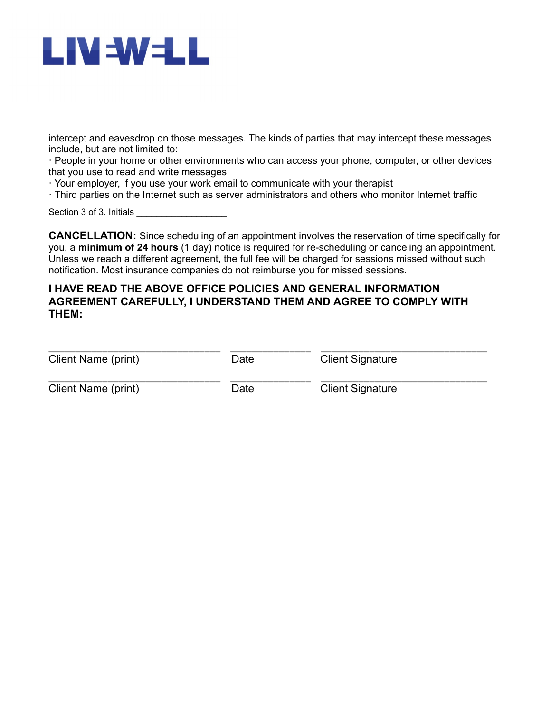# LIV=W=LL

intercept and eavesdrop on those messages. The kinds of parties that may intercept these messages include, but are not limited to:

· People in your home or other environments who can access your phone, computer, or other devices that you use to read and write messages

· Your employer, if you use your work email to communicate with your therapist

· Third parties on the Internet such as server administrators and others who monitor Internet traffic

Section 3 of 3. Initials

**CANCELLATION:** Since scheduling of an appointment involves the reservation of time specifically for you, a **minimum of 24 hours** (1 day) notice is required for re-scheduling or canceling an appointment. Unless we reach a different agreement, the full fee will be charged for sessions missed without such notification. Most insurance companies do not reimburse you for missed sessions.

#### **I HAVE READ THE ABOVE OFFICE POLICIES AND GENERAL INFORMATION AGREEMENT CAREFULLY, I UNDERSTAND THEM AND AGREE TO COMPLY WITH THEM:**

| Client Name (print) | Date | <b>Client Signature</b> |  |
|---------------------|------|-------------------------|--|
| Client Name (print) | Date | <b>Client Signature</b> |  |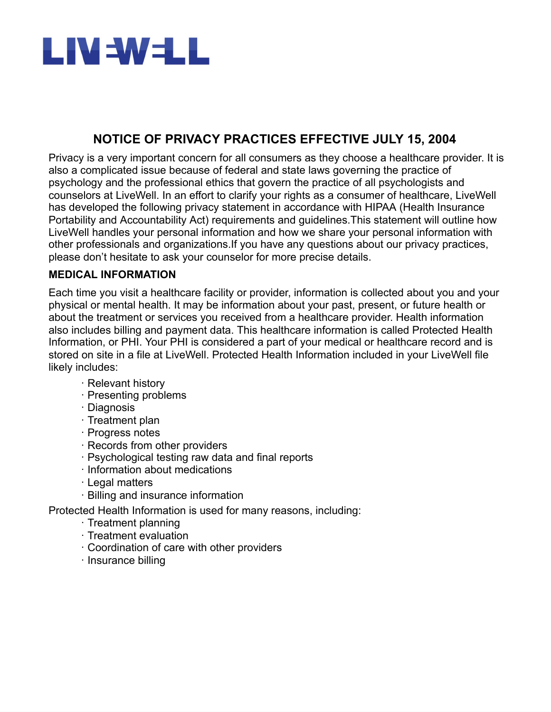

## **NOTICE OF PRIVACY PRACTICES EFFECTIVE JULY 15, 2004**

Privacy is a very important concern for all consumers as they choose a healthcare provider. It is also a complicated issue because of federal and state laws governing the practice of psychology and the professional ethics that govern the practice of all psychologists and counselors at LiveWell. In an effort to clarify your rights as a consumer of healthcare, LiveWell has developed the following privacy statement in accordance with HIPAA (Health Insurance Portability and Accountability Act) requirements and guidelines.This statement will outline how LiveWell handles your personal information and how we share your personal information with other professionals and organizations.If you have any questions about our privacy practices, please don't hesitate to ask your counselor for more precise details.

#### **MEDICAL INFORMATION**

Each time you visit a healthcare facility or provider, information is collected about you and your physical or mental health. It may be information about your past, present, or future health or about the treatment or services you received from a healthcare provider. Health information also includes billing and payment data. This healthcare information is called Protected Health Information, or PHI. Your PHI is considered a part of your medical or healthcare record and is stored on site in a file at LiveWell. Protected Health Information included in your LiveWell file likely includes:

- · Relevant history
- · Presenting problems
- · Diagnosis
- · Treatment plan
- · Progress notes
- · Records from other providers
- · Psychological testing raw data and final reports
- · Information about medications
- · Legal matters
- · Billing and insurance information

Protected Health Information is used for many reasons, including:

- · Treatment planning
- · Treatment evaluation
- · Coordination of care with other providers
- · Insurance billing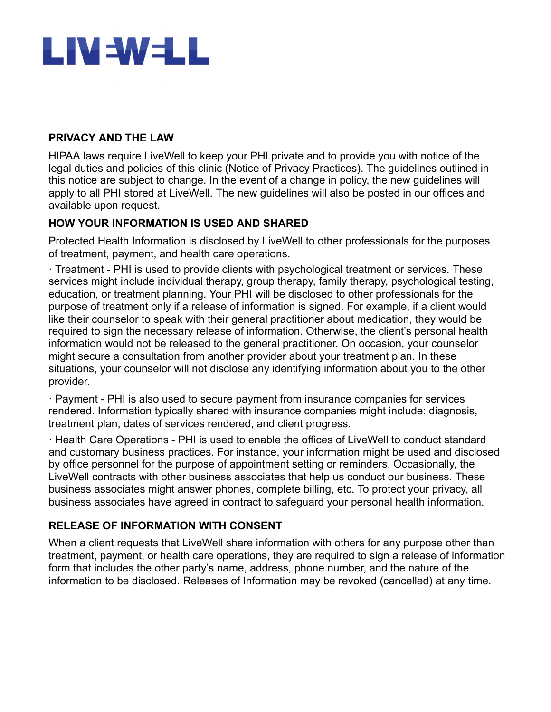

#### **PRIVACY AND THE LAW**

HIPAA laws require LiveWell to keep your PHI private and to provide you with notice of the legal duties and policies of this clinic (Notice of Privacy Practices). The guidelines outlined in this notice are subject to change. In the event of a change in policy, the new guidelines will apply to all PHI stored at LiveWell. The new guidelines will also be posted in our offices and available upon request.

#### **HOW YOUR INFORMATION IS USED AND SHARED**

Protected Health Information is disclosed by LiveWell to other professionals for the purposes of treatment, payment, and health care operations.

· Treatment - PHI is used to provide clients with psychological treatment or services. These services might include individual therapy, group therapy, family therapy, psychological testing, education, or treatment planning. Your PHI will be disclosed to other professionals for the purpose of treatment only if a release of information is signed. For example, if a client would like their counselor to speak with their general practitioner about medication, they would be required to sign the necessary release of information. Otherwise, the client's personal health information would not be released to the general practitioner. On occasion, your counselor might secure a consultation from another provider about your treatment plan. In these situations, your counselor will not disclose any identifying information about you to the other provider.

· Payment - PHI is also used to secure payment from insurance companies for services rendered. Information typically shared with insurance companies might include: diagnosis, treatment plan, dates of services rendered, and client progress.

· Health Care Operations - PHI is used to enable the offices of LiveWell to conduct standard and customary business practices. For instance, your information might be used and disclosed by office personnel for the purpose of appointment setting or reminders. Occasionally, the LiveWell contracts with other business associates that help us conduct our business. These business associates might answer phones, complete billing, etc. To protect your privacy, all business associates have agreed in contract to safeguard your personal health information.

#### **RELEASE OF INFORMATION WITH CONSENT**

When a client requests that LiveWell share information with others for any purpose other than treatment, payment, or health care operations, they are required to sign a release of information form that includes the other party's name, address, phone number, and the nature of the information to be disclosed. Releases of Information may be revoked (cancelled) at any time.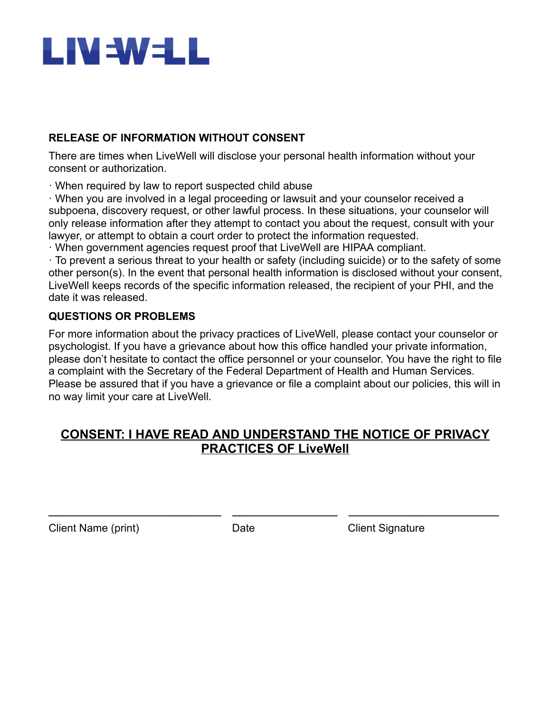

#### **RELEASE OF INFORMATION WITHOUT CONSENT**

There are times when LiveWell will disclose your personal health information without your consent or authorization.

· When required by law to report suspected child abuse

· When you are involved in a legal proceeding or lawsuit and your counselor received a subpoena, discovery request, or other lawful process. In these situations, your counselor will only release information after they attempt to contact you about the request, consult with your lawyer, or attempt to obtain a court order to protect the information requested.

· When government agencies request proof that LiveWell are HIPAA compliant.

· To prevent a serious threat to your health or safety (including suicide) or to the safety of some other person(s). In the event that personal health information is disclosed without your consent, LiveWell keeps records of the specific information released, the recipient of your PHI, and the date it was released.

#### **QUESTIONS OR PROBLEMS**

For more information about the privacy practices of LiveWell, please contact your counselor or psychologist. If you have a grievance about how this office handled your private information, please don't hesitate to contact the office personnel or your counselor. You have the right to file a complaint with the Secretary of the Federal Department of Health and Human Services. Please be assured that if you have a grievance or file a complaint about our policies, this will in no way limit your care at LiveWell.

## **CONSENT: I HAVE READ AND UNDERSTAND THE NOTICE OF PRIVACY PRACTICES OF LiveWell**

 $\overline{\phantom{a}}$  , and the contribution of the contribution of  $\overline{\phantom{a}}$  , and  $\overline{\phantom{a}}$  , and  $\overline{\phantom{a}}$  , and  $\overline{\phantom{a}}$  , and  $\overline{\phantom{a}}$  , and  $\overline{\phantom{a}}$  , and  $\overline{\phantom{a}}$  , and  $\overline{\phantom{a}}$  , and  $\overline{\phantom{a}}$  , and

Client Name (print) Date Client Signature Client Signature